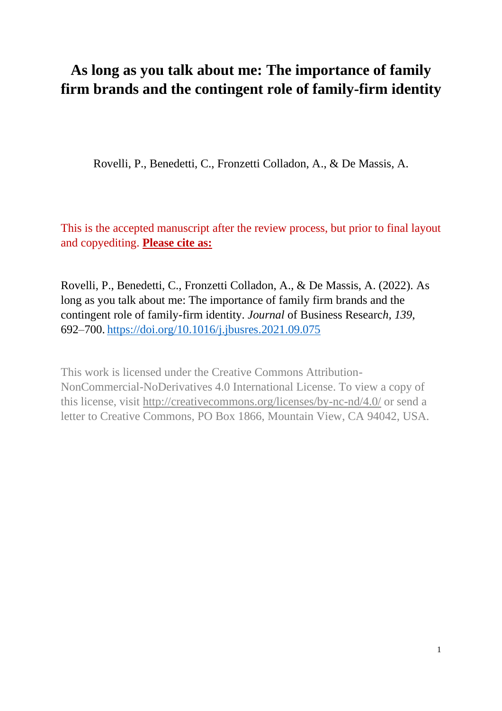# **As long as you talk about me: The importance of family firm brands and the contingent role of family-firm identity**

Rovelli, P., Benedetti, C., Fronzetti Colladon, A., & De Massis, A.

This is the accepted manuscript after the review process, but prior to final layout and copyediting. **Please cite as:**

Rovelli, P., Benedetti, C., Fronzetti Colladon, A., & De Massis, A. (2022). As long as you talk about me: The importance of family firm brands and the contingent role of family-firm identity. *Journal* of Business Researc*h, 139*, 692–700. <https://doi.org/10.1016/j.jbusres.2021.09.075>

This work is licensed under the Creative Commons Attribution-NonCommercial-NoDerivatives 4.0 International License. To view a copy of this license, visit<http://creativecommons.org/licenses/by-nc-nd/4.0/> or send a letter to Creative Commons, PO Box 1866, Mountain View, CA 94042, USA.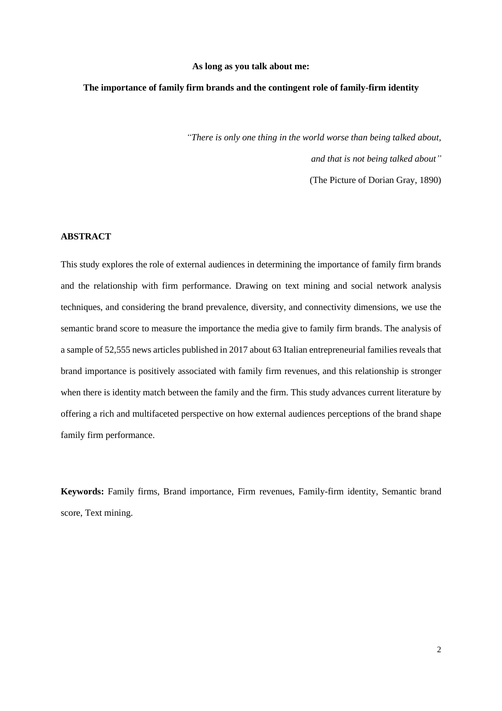#### **As long as you talk about me:**

# **The importance of family firm brands and the contingent role of family-firm identity**

*"There is only one thing in the world worse than being talked about, and that is not being talked about"*

(The Picture of Dorian Gray, 1890)

# **ABSTRACT**

This study explores the role of external audiences in determining the importance of family firm brands and the relationship with firm performance. Drawing on text mining and social network analysis techniques, and considering the brand prevalence, diversity, and connectivity dimensions, we use the semantic brand score to measure the importance the media give to family firm brands. The analysis of a sample of 52,555 news articles published in 2017 about 63 Italian entrepreneurial families reveals that brand importance is positively associated with family firm revenues, and this relationship is stronger when there is identity match between the family and the firm. This study advances current literature by offering a rich and multifaceted perspective on how external audiences perceptions of the brand shape family firm performance.

**Keywords:** Family firms, Brand importance, Firm revenues, Family-firm identity, Semantic brand score, Text mining.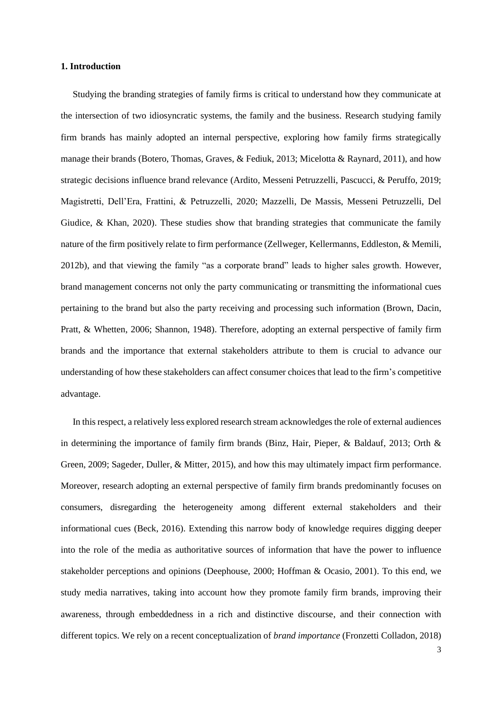### **1. Introduction**

Studying the branding strategies of family firms is critical to understand how they communicate at the intersection of two idiosyncratic systems, the family and the business. Research studying family firm brands has mainly adopted an internal perspective, exploring how family firms strategically manage their brands (Botero, Thomas, Graves, & Fediuk, 2013; Micelotta & Raynard, 2011), and how strategic decisions influence brand relevance (Ardito, Messeni Petruzzelli, Pascucci, & Peruffo, 2019; Magistretti, Dell'Era, Frattini, & Petruzzelli, 2020; Mazzelli, De Massis, Messeni Petruzzelli, Del Giudice, & Khan, 2020). These studies show that branding strategies that communicate the family nature of the firm positively relate to firm performance (Zellweger, Kellermanns, Eddleston, & Memili, 2012b), and that viewing the family "as a corporate brand" leads to higher sales growth. However, brand management concerns not only the party communicating or transmitting the informational cues pertaining to the brand but also the party receiving and processing such information (Brown, Dacin, Pratt, & Whetten, 2006; Shannon, 1948). Therefore, adopting an external perspective of family firm brands and the importance that external stakeholders attribute to them is crucial to advance our understanding of how these stakeholders can affect consumer choices that lead to the firm's competitive advantage.

In this respect, a relatively less explored research stream acknowledgesthe role of external audiences in determining the importance of family firm brands (Binz, Hair, Pieper, & Baldauf, 2013; Orth & Green, 2009; Sageder, Duller, & Mitter, 2015), and how this may ultimately impact firm performance. Moreover, research adopting an external perspective of family firm brands predominantly focuses on consumers, disregarding the heterogeneity among different external stakeholders and their informational cues (Beck, 2016). Extending this narrow body of knowledge requires digging deeper into the role of the media as authoritative sources of information that have the power to influence stakeholder perceptions and opinions (Deephouse, 2000; Hoffman & Ocasio, 2001). To this end, we study media narratives, taking into account how they promote family firm brands, improving their awareness, through embeddedness in a rich and distinctive discourse, and their connection with different topics. We rely on a recent conceptualization of *brand importance* (Fronzetti Colladon, 2018)

3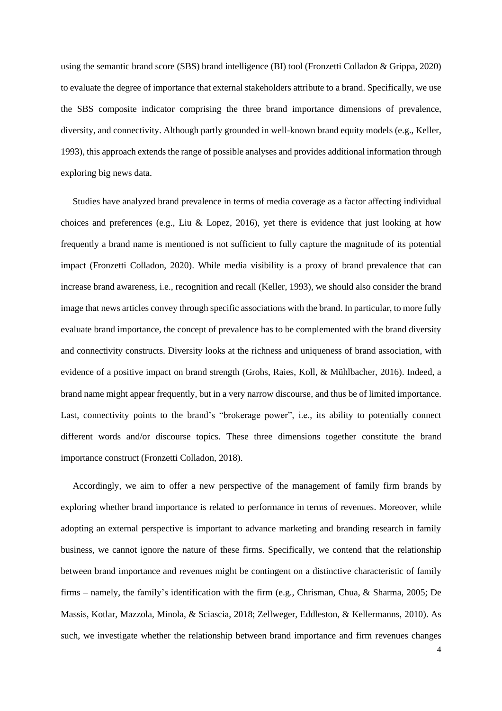using the semantic brand score (SBS) brand intelligence (BI) tool (Fronzetti Colladon & Grippa, 2020) to evaluate the degree of importance that external stakeholders attribute to a brand. Specifically, we use the SBS composite indicator comprising the three brand importance dimensions of prevalence, diversity, and connectivity. Although partly grounded in well-known brand equity models (e.g., Keller, 1993), this approach extends the range of possible analyses and provides additional information through exploring big news data.

Studies have analyzed brand prevalence in terms of media coverage as a factor affecting individual choices and preferences (e.g., Liu & Lopez, 2016), yet there is evidence that just looking at how frequently a brand name is mentioned is not sufficient to fully capture the magnitude of its potential impact (Fronzetti Colladon, 2020). While media visibility is a proxy of brand prevalence that can increase brand awareness, i.e., recognition and recall (Keller, 1993), we should also consider the brand image that news articles convey through specific associations with the brand. In particular, to more fully evaluate brand importance, the concept of prevalence has to be complemented with the brand diversity and connectivity constructs. Diversity looks at the richness and uniqueness of brand association, with evidence of a positive impact on brand strength (Grohs, Raies, Koll, & Mühlbacher, 2016). Indeed, a brand name might appear frequently, but in a very narrow discourse, and thus be of limited importance. Last, connectivity points to the brand's "brokerage power", i.e., its ability to potentially connect different words and/or discourse topics. These three dimensions together constitute the brand importance construct (Fronzetti Colladon, 2018).

Accordingly, we aim to offer a new perspective of the management of family firm brands by exploring whether brand importance is related to performance in terms of revenues. Moreover, while adopting an external perspective is important to advance marketing and branding research in family business, we cannot ignore the nature of these firms. Specifically, we contend that the relationship between brand importance and revenues might be contingent on a distinctive characteristic of family firms – namely, the family's identification with the firm (e.g., Chrisman, Chua, & Sharma, 2005; De Massis, Kotlar, Mazzola, Minola, & Sciascia, 2018; Zellweger, Eddleston, & Kellermanns, 2010). As such, we investigate whether the relationship between brand importance and firm revenues changes

4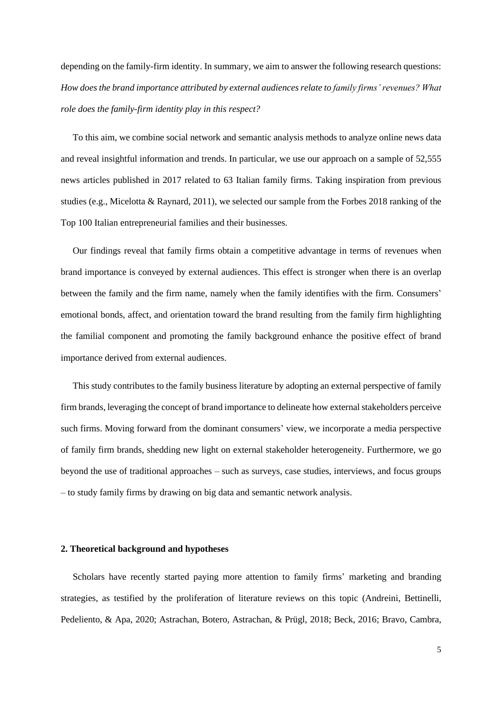depending on the family-firm identity. In summary, we aim to answer the following research questions: *How does the brand importance attributed by external audiences relate to family firms' revenues? What role does the family-firm identity play in this respect?*

To this aim, we combine social network and semantic analysis methods to analyze online news data and reveal insightful information and trends. In particular, we use our approach on a sample of 52,555 news articles published in 2017 related to 63 Italian family firms. Taking inspiration from previous studies (e.g., Micelotta & Raynard, 2011), we selected our sample from the Forbes 2018 ranking of the Top 100 Italian entrepreneurial families and their businesses.

Our findings reveal that family firms obtain a competitive advantage in terms of revenues when brand importance is conveyed by external audiences. This effect is stronger when there is an overlap between the family and the firm name, namely when the family identifies with the firm. Consumers' emotional bonds, affect, and orientation toward the brand resulting from the family firm highlighting the familial component and promoting the family background enhance the positive effect of brand importance derived from external audiences.

This study contributes to the family business literature by adopting an external perspective of family firm brands, leveraging the concept of brand importance to delineate how external stakeholders perceive such firms. Moving forward from the dominant consumers' view, we incorporate a media perspective of family firm brands, shedding new light on external stakeholder heterogeneity. Furthermore, we go beyond the use of traditional approaches – such as surveys, case studies, interviews, and focus groups – to study family firms by drawing on big data and semantic network analysis.

#### **2. Theoretical background and hypotheses**

Scholars have recently started paying more attention to family firms' marketing and branding strategies, as testified by the proliferation of literature reviews on this topic (Andreini, Bettinelli, Pedeliento, & Apa, 2020; Astrachan, Botero, Astrachan, & Prügl, 2018; Beck, 2016; Bravo, Cambra,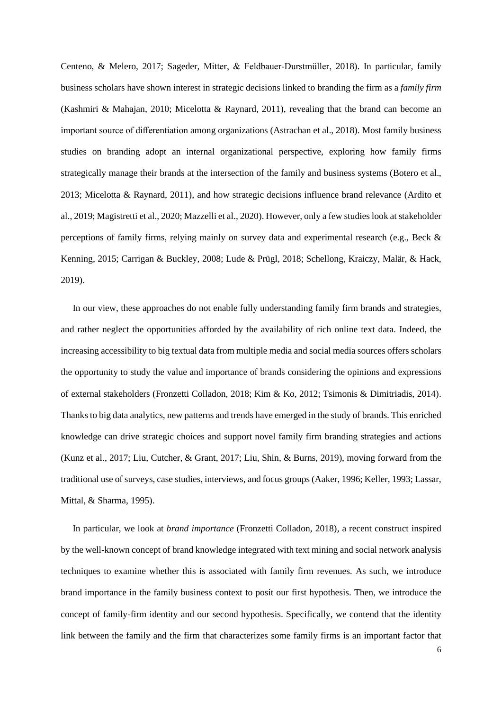Centeno, & Melero, 2017; Sageder, Mitter, & Feldbauer‐Durstmüller, 2018). In particular, family business scholars have shown interest in strategic decisions linked to branding the firm as a *family firm* (Kashmiri & Mahajan, 2010; Micelotta & Raynard, 2011), revealing that the brand can become an important source of differentiation among organizations (Astrachan et al., 2018). Most family business studies on branding adopt an internal organizational perspective, exploring how family firms strategically manage their brands at the intersection of the family and business systems (Botero et al., 2013; Micelotta & Raynard, 2011), and how strategic decisions influence brand relevance (Ardito et al., 2019; Magistretti et al., 2020; Mazzelli et al., 2020). However, only a few studies look at stakeholder perceptions of family firms, relying mainly on survey data and experimental research (e.g., Beck & Kenning, 2015; Carrigan & Buckley, 2008; Lude & Prügl, 2018; Schellong, Kraiczy, Malär, & Hack, 2019).

In our view, these approaches do not enable fully understanding family firm brands and strategies, and rather neglect the opportunities afforded by the availability of rich online text data. Indeed, the increasing accessibility to big textual data from multiple media and social media sources offers scholars the opportunity to study the value and importance of brands considering the opinions and expressions of external stakeholders (Fronzetti Colladon, 2018; Kim & Ko, 2012; Tsimonis & Dimitriadis, 2014). Thanks to big data analytics, new patterns and trends have emerged in the study of brands. This enriched knowledge can drive strategic choices and support novel family firm branding strategies and actions (Kunz et al., 2017; Liu, Cutcher, & Grant, 2017; Liu, Shin, & Burns, 2019), moving forward from the traditional use of surveys, case studies, interviews, and focus groups (Aaker, 1996; Keller, 1993; Lassar, Mittal, & Sharma, 1995).

In particular, we look at *brand importance* (Fronzetti Colladon, 2018), a recent construct inspired by the well-known concept of brand knowledge integrated with text mining and social network analysis techniques to examine whether this is associated with family firm revenues. As such, we introduce brand importance in the family business context to posit our first hypothesis. Then, we introduce the concept of family-firm identity and our second hypothesis. Specifically, we contend that the identity link between the family and the firm that characterizes some family firms is an important factor that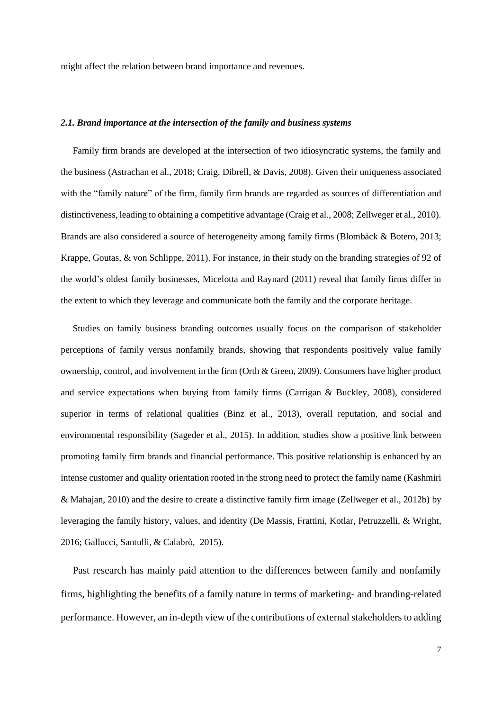might affect the relation between brand importance and revenues.

# *2.1. Brand importance at the intersection of the family and business systems*

Family firm brands are developed at the intersection of two idiosyncratic systems, the family and the business (Astrachan et al., 2018; Craig, Dibrell, & Davis, 2008). Given their uniqueness associated with the "family nature" of the firm, family firm brands are regarded as sources of differentiation and distinctiveness, leading to obtaining a competitive advantage (Craig et al., 2008; Zellweger et al., 2010). Brands are also considered a source of heterogeneity among family firms (Blombäck & Botero, 2013; Krappe, Goutas, & von Schlippe, 2011). For instance, in their study on the branding strategies of 92 of the world's oldest family businesses, Micelotta and Raynard (2011) reveal that family firms differ in the extent to which they leverage and communicate both the family and the corporate heritage.

Studies on family business branding outcomes usually focus on the comparison of stakeholder perceptions of family versus nonfamily brands, showing that respondents positively value family ownership, control, and involvement in the firm (Orth & Green, 2009). Consumers have higher product and service expectations when buying from family firms (Carrigan & Buckley, 2008), considered superior in terms of relational qualities (Binz et al., 2013), overall reputation, and social and environmental responsibility (Sageder et al., 2015). In addition, studies show a positive link between promoting family firm brands and financial performance. This positive relationship is enhanced by an intense customer and quality orientation rooted in the strong need to protect the family name (Kashmiri & Mahajan, 2010) and the desire to create a distinctive family firm image (Zellweger et al., 2012b) by leveraging the family history, values, and identity (De Massis, Frattini, Kotlar, Petruzzelli, & Wright, 2016; Gallucci, Santulli, & Calabrò, 2015).

Past research has mainly paid attention to the differences between family and nonfamily firms, highlighting the benefits of a family nature in terms of marketing- and branding-related performance. However, an in-depth view of the contributions of external stakeholders to adding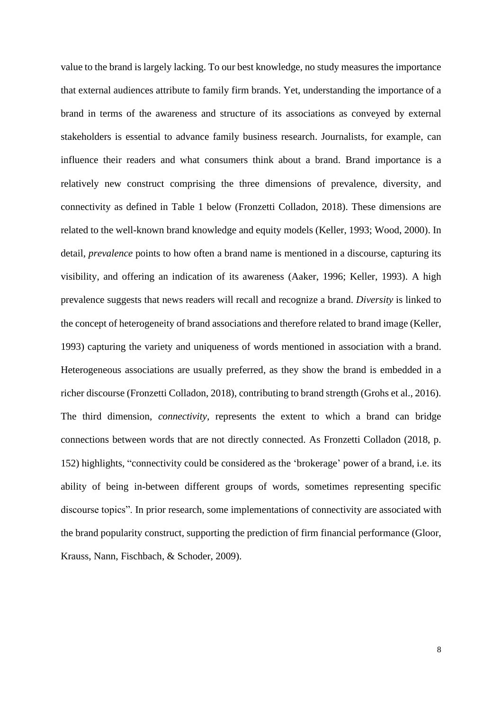value to the brand is largely lacking. To our best knowledge, no study measures the importance that external audiences attribute to family firm brands. Yet, understanding the importance of a brand in terms of the awareness and structure of its associations as conveyed by external stakeholders is essential to advance family business research. Journalists, for example, can influence their readers and what consumers think about a brand. Brand importance is a relatively new construct comprising the three dimensions of prevalence, diversity, and connectivity as defined in Table 1 below (Fronzetti Colladon, 2018). These dimensions are related to the well-known brand knowledge and equity models (Keller, 1993; Wood, 2000). In detail, *prevalence* points to how often a brand name is mentioned in a discourse, capturing its visibility, and offering an indication of its awareness (Aaker, 1996; Keller, 1993). A high prevalence suggests that news readers will recall and recognize a brand. *Diversity* is linked to the concept of heterogeneity of brand associations and therefore related to brand image (Keller, 1993) capturing the variety and uniqueness of words mentioned in association with a brand. Heterogeneous associations are usually preferred, as they show the brand is embedded in a richer discourse (Fronzetti Colladon, 2018), contributing to brand strength (Grohs et al., 2016). The third dimension, *connectivity,* represents the extent to which a brand can bridge connections between words that are not directly connected. As Fronzetti Colladon (2018, p. 152) highlights, "connectivity could be considered as the 'brokerage' power of a brand, i.e. its ability of being in-between different groups of words, sometimes representing specific discourse topics". In prior research, some implementations of connectivity are associated with the brand popularity construct, supporting the prediction of firm financial performance (Gloor, Krauss, Nann, Fischbach, & Schoder, 2009).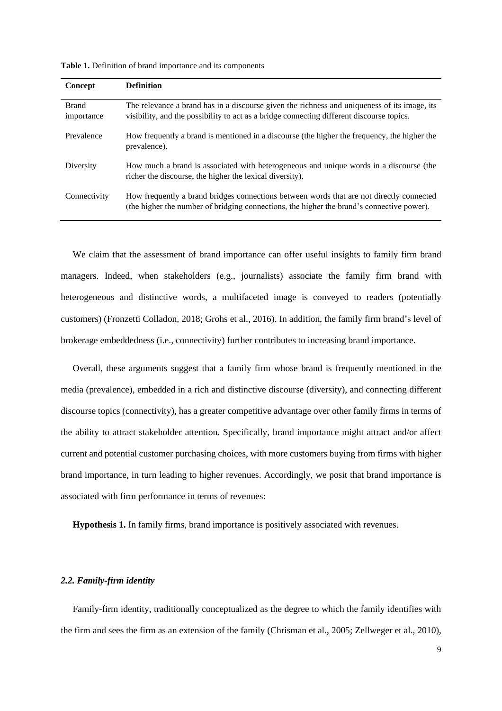| <b>Concept</b>             | <b>Definition</b>                                                                                                                                                                         |
|----------------------------|-------------------------------------------------------------------------------------------------------------------------------------------------------------------------------------------|
| <b>Brand</b><br>importance | The relevance a brand has in a discourse given the richness and uniqueness of its image, its<br>visibility, and the possibility to act as a bridge connecting different discourse topics. |
| Prevalence                 | How frequently a brand is mentioned in a discourse (the higher the frequency, the higher the<br>prevalence).                                                                              |
| Diversity                  | How much a brand is associated with heterogeneous and unique words in a discourse (the<br>richer the discourse, the higher the lexical diversity).                                        |
| Connectivity               | How frequently a brand bridges connections between words that are not directly connected<br>(the higher the number of bridging connections, the higher the brand's connective power).     |

**Table 1.** Definition of brand importance and its components

We claim that the assessment of brand importance can offer useful insights to family firm brand managers. Indeed, when stakeholders (e.g., journalists) associate the family firm brand with heterogeneous and distinctive words, a multifaceted image is conveyed to readers (potentially customers) (Fronzetti Colladon, 2018; Grohs et al., 2016). In addition, the family firm brand's level of brokerage embeddedness (i.e., connectivity) further contributes to increasing brand importance.

Overall, these arguments suggest that a family firm whose brand is frequently mentioned in the media (prevalence), embedded in a rich and distinctive discourse (diversity), and connecting different discourse topics (connectivity), has a greater competitive advantage over other family firms in terms of the ability to attract stakeholder attention. Specifically, brand importance might attract and/or affect current and potential customer purchasing choices, with more customers buying from firms with higher brand importance, in turn leading to higher revenues. Accordingly, we posit that brand importance is associated with firm performance in terms of revenues:

**Hypothesis 1.** In family firms, brand importance is positively associated with revenues.

#### *2.2. Family-firm identity*

Family-firm identity, traditionally conceptualized as the degree to which the family identifies with the firm and sees the firm as an extension of the family (Chrisman et al., 2005; Zellweger et al., 2010),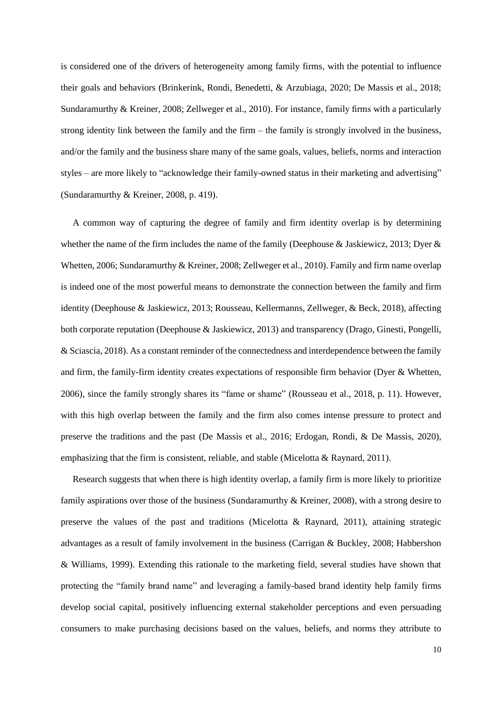is considered one of the drivers of heterogeneity among family firms, with the potential to influence their goals and behaviors (Brinkerink, Rondi, Benedetti, & Arzubiaga, 2020; De Massis et al., 2018; Sundaramurthy & Kreiner, 2008; Zellweger et al., 2010). For instance, family firms with a particularly strong identity link between the family and the firm – the family is strongly involved in the business, and/or the family and the business share many of the same goals, values, beliefs, norms and interaction styles – are more likely to "acknowledge their family-owned status in their marketing and advertising" (Sundaramurthy & Kreiner, 2008, p. 419).

A common way of capturing the degree of family and firm identity overlap is by determining whether the name of the firm includes the name of the family (Deephouse & Jaskiewicz, 2013; Dyer & Whetten, 2006; Sundaramurthy & Kreiner, 2008; Zellweger et al., 2010). Family and firm name overlap is indeed one of the most powerful means to demonstrate the connection between the family and firm identity (Deephouse & Jaskiewicz, 2013; Rousseau, Kellermanns, Zellweger, & Beck, 2018), affecting both corporate reputation (Deephouse & Jaskiewicz, 2013) and transparency (Drago, Ginesti, Pongelli, & Sciascia, 2018). As a constant reminder of the connectedness and interdependence between the family and firm, the family-firm identity creates expectations of responsible firm behavior (Dyer & Whetten, 2006), since the family strongly shares its "fame or shame" (Rousseau et al., 2018, p. 11). However, with this high overlap between the family and the firm also comes intense pressure to protect and preserve the traditions and the past (De Massis et al., 2016; Erdogan, Rondi, & De Massis, 2020), emphasizing that the firm is consistent, reliable, and stable (Micelotta & Raynard, 2011).

Research suggests that when there is high identity overlap, a family firm is more likely to prioritize family aspirations over those of the business (Sundaramurthy & Kreiner, 2008), with a strong desire to preserve the values of the past and traditions (Micelotta & Raynard, 2011), attaining strategic advantages as a result of family involvement in the business (Carrigan & Buckley, 2008; Habbershon & Williams, 1999). Extending this rationale to the marketing field, several studies have shown that protecting the "family brand name" and leveraging a family-based brand identity help family firms develop social capital, positively influencing external stakeholder perceptions and even persuading consumers to make purchasing decisions based on the values, beliefs, and norms they attribute to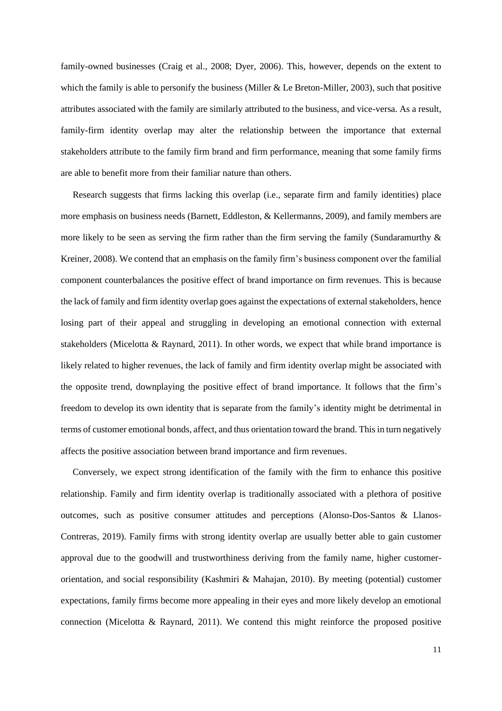family-owned businesses (Craig et al., 2008; Dyer, 2006). This, however, depends on the extent to which the family is able to personify the business (Miller & Le Breton-Miller, 2003), such that positive attributes associated with the family are similarly attributed to the business, and vice-versa. As a result, family-firm identity overlap may alter the relationship between the importance that external stakeholders attribute to the family firm brand and firm performance, meaning that some family firms are able to benefit more from their familiar nature than others.

Research suggests that firms lacking this overlap (i.e., separate firm and family identities) place more emphasis on business needs (Barnett, Eddleston, & Kellermanns, 2009), and family members are more likely to be seen as serving the firm rather than the firm serving the family (Sundaramurthy  $\&$ Kreiner, 2008). We contend that an emphasis on the family firm's business component over the familial component counterbalances the positive effect of brand importance on firm revenues. This is because the lack of family and firm identity overlap goes against the expectations of external stakeholders, hence losing part of their appeal and struggling in developing an emotional connection with external stakeholders (Micelotta & Raynard, 2011). In other words, we expect that while brand importance is likely related to higher revenues, the lack of family and firm identity overlap might be associated with the opposite trend, downplaying the positive effect of brand importance. It follows that the firm's freedom to develop its own identity that is separate from the family's identity might be detrimental in terms of customer emotional bonds, affect, and thus orientation toward the brand. Thisin turn negatively affects the positive association between brand importance and firm revenues.

Conversely, we expect strong identification of the family with the firm to enhance this positive relationship. Family and firm identity overlap is traditionally associated with a plethora of positive outcomes, such as positive consumer attitudes and perceptions (Alonso-Dos-Santos & Llanos-Contreras, 2019). Family firms with strong identity overlap are usually better able to gain customer approval due to the goodwill and trustworthiness deriving from the family name, higher customerorientation, and social responsibility (Kashmiri & Mahajan, 2010). By meeting (potential) customer expectations, family firms become more appealing in their eyes and more likely develop an emotional connection (Micelotta & Raynard, 2011). We contend this might reinforce the proposed positive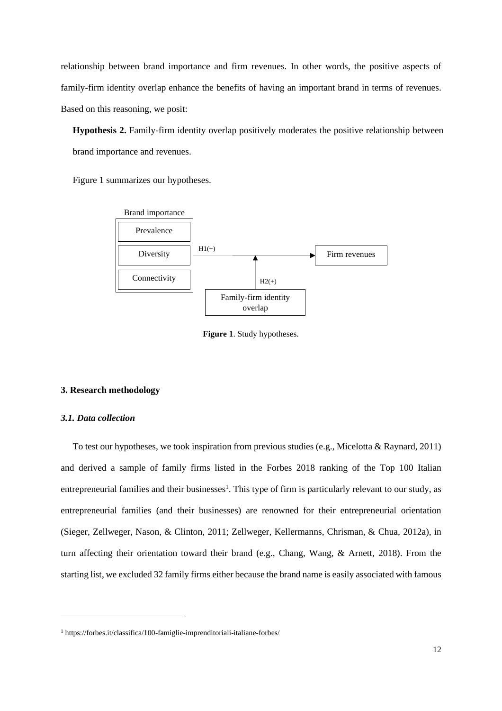relationship between brand importance and firm revenues. In other words, the positive aspects of family-firm identity overlap enhance the benefits of having an important brand in terms of revenues. Based on this reasoning, we posit:

**Hypothesis 2.** Family-firm identity overlap positively moderates the positive relationship between brand importance and revenues.

Figure 1 summarizes our hypotheses.



**Figure 1**. Study hypotheses.

# **3. Research methodology**

# *3.1. Data collection*

To test our hypotheses, we took inspiration from previous studies (e.g., Micelotta & Raynard, 2011) and derived a sample of family firms listed in the Forbes 2018 ranking of the Top 100 Italian entrepreneurial families and their businesses<sup>1</sup>. This type of firm is particularly relevant to our study, as entrepreneurial families (and their businesses) are renowned for their entrepreneurial orientation (Sieger, Zellweger, Nason, & Clinton, 2011; Zellweger, Kellermanns, Chrisman, & Chua, 2012a), in turn affecting their orientation toward their brand (e.g., Chang, Wang, & Arnett, 2018). From the starting list, we excluded 32 family firms either because the brand name is easily associated with famous

<sup>1</sup> https://forbes.it/classifica/100-famiglie-imprenditoriali-italiane-forbes/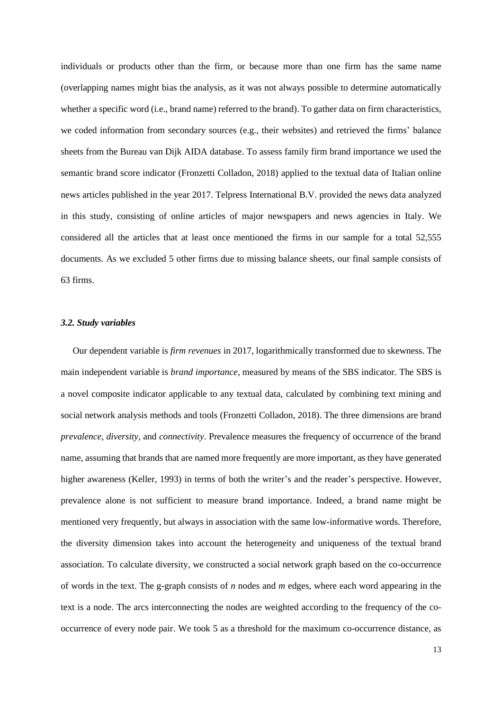individuals or products other than the firm, or because more than one firm has the same name (overlapping names might bias the analysis, as it was not always possible to determine automatically whether a specific word (i.e., brand name) referred to the brand). To gather data on firm characteristics, we coded information from secondary sources (e.g., their websites) and retrieved the firms' balance sheets from the Bureau van Dijk AIDA database. To assess family firm brand importance we used the semantic brand score indicator (Fronzetti Colladon, 2018) applied to the textual data of Italian online news articles published in the year 2017. Telpress International B.V. provided the news data analyzed in this study, consisting of online articles of major newspapers and news agencies in Italy. We considered all the articles that at least once mentioned the firms in our sample for a total 52,555 documents. As we excluded 5 other firms due to missing balance sheets, our final sample consists of 63 firms.

#### *3.2. Study variables*

Our dependent variable is *firm revenues* in 2017, logarithmically transformed due to skewness. The main independent variable is *brand importance*, measured by means of the SBS indicator. The SBS is a novel composite indicator applicable to any textual data, calculated by combining text mining and social network analysis methods and tools (Fronzetti Colladon, 2018). The three dimensions are brand *prevalence*, *diversity*, and *connectivity*. Prevalence measures the frequency of occurrence of the brand name, assuming that brands that are named more frequently are more important, as they have generated higher awareness (Keller, 1993) in terms of both the writer's and the reader's perspective. However, prevalence alone is not sufficient to measure brand importance. Indeed, a brand name might be mentioned very frequently, but always in association with the same low-informative words. Therefore, the diversity dimension takes into account the heterogeneity and uniqueness of the textual brand association. To calculate diversity, we constructed a social network graph based on the co-occurrence of words in the text. The g-graph consists of *n* nodes and *m* edges, where each word appearing in the text is a node. The arcs interconnecting the nodes are weighted according to the frequency of the cooccurrence of every node pair. We took 5 as a threshold for the maximum co-occurrence distance, as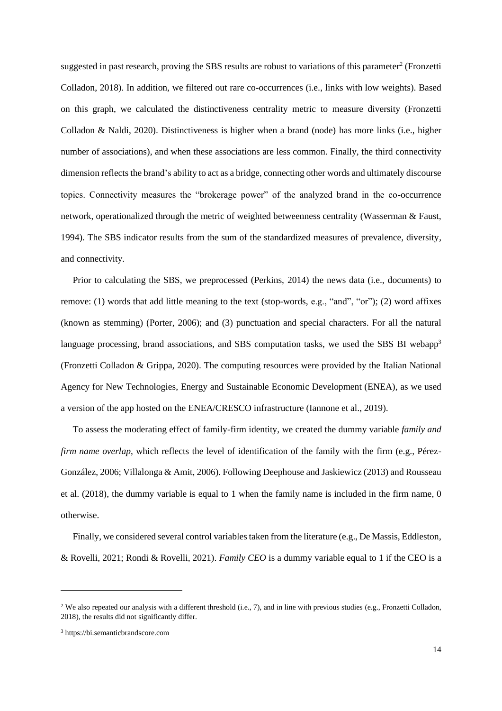suggested in past research, proving the SBS results are robust to variations of this parameter<sup>2</sup> (Fronzetti Colladon, 2018). In addition, we filtered out rare co-occurrences (i.e., links with low weights). Based on this graph, we calculated the distinctiveness centrality metric to measure diversity (Fronzetti Colladon & Naldi, 2020). Distinctiveness is higher when a brand (node) has more links (i.e., higher number of associations), and when these associations are less common. Finally, the third connectivity dimension reflects the brand's ability to act as a bridge, connecting other words and ultimately discourse topics. Connectivity measures the "brokerage power" of the analyzed brand in the co-occurrence network, operationalized through the metric of weighted betweenness centrality (Wasserman & Faust, 1994). The SBS indicator results from the sum of the standardized measures of prevalence, diversity, and connectivity.

Prior to calculating the SBS, we preprocessed (Perkins, 2014) the news data (i.e., documents) to remove: (1) words that add little meaning to the text (stop-words, e.g., "and", "or"); (2) word affixes (known as stemming) (Porter, 2006); and (3) punctuation and special characters. For all the natural language processing, brand associations, and SBS computation tasks, we used the SBS BI webapp<sup>3</sup> (Fronzetti Colladon & Grippa, 2020). The computing resources were provided by the Italian National Agency for New Technologies, Energy and Sustainable Economic Development (ENEA), as we used a version of the app hosted on the ENEA/CRESCO infrastructure (Iannone et al., 2019).

To assess the moderating effect of family-firm identity, we created the dummy variable *family and firm name overlap*, which reflects the level of identification of the family with the firm (e.g., Pérez-González, 2006; Villalonga & Amit, 2006). Following Deephouse and Jaskiewicz (2013) and Rousseau et al. (2018), the dummy variable is equal to 1 when the family name is included in the firm name, 0 otherwise.

Finally, we considered several control variables taken from the literature (e.g., De Massis, Eddleston, & Rovelli, 2021; Rondi & Rovelli, 2021). *Family CEO* is a dummy variable equal to 1 if the CEO is a

<sup>&</sup>lt;sup>2</sup> We also repeated our analysis with a different threshold (i.e., 7), and in line with previous studies (e.g., Fronzetti Colladon, 2018), the results did not significantly differ.

<sup>3</sup> https://bi.semanticbrandscore.com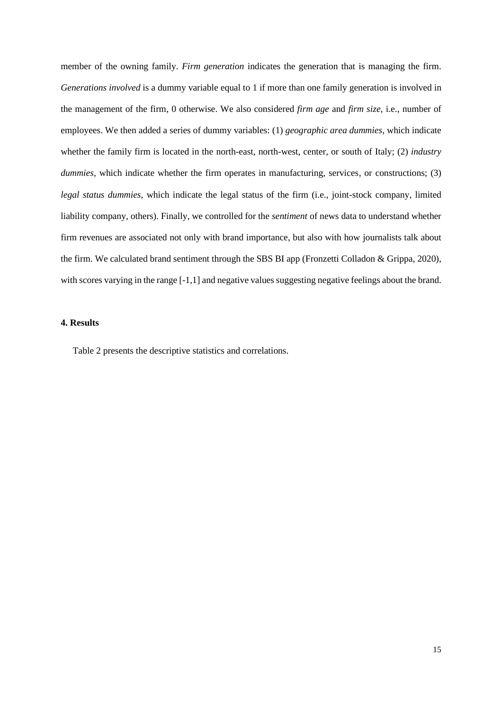member of the owning family. *Firm generation* indicates the generation that is managing the firm. *Generations involved* is a dummy variable equal to 1 if more than one family generation is involved in the management of the firm, 0 otherwise. We also considered *firm age* and *firm size,* i.e., number of employees. We then added a series of dummy variables: (1) *geographic area dummies*, which indicate whether the family firm is located in the north-east, north-west, center, or south of Italy; (2) *industry dummies*, which indicate whether the firm operates in manufacturing, services, or constructions; (3) *legal status dummies*, which indicate the legal status of the firm (i.e., joint-stock company, limited liability company, others). Finally, we controlled for the *sentiment* of news data to understand whether firm revenues are associated not only with brand importance, but also with how journalists talk about the firm. We calculated brand sentiment through the SBS BI app (Fronzetti Colladon & Grippa, 2020), with scores varying in the range [-1,1] and negative values suggesting negative feelings about the brand.

# **4. Results**

Table 2 presents the descriptive statistics and correlations.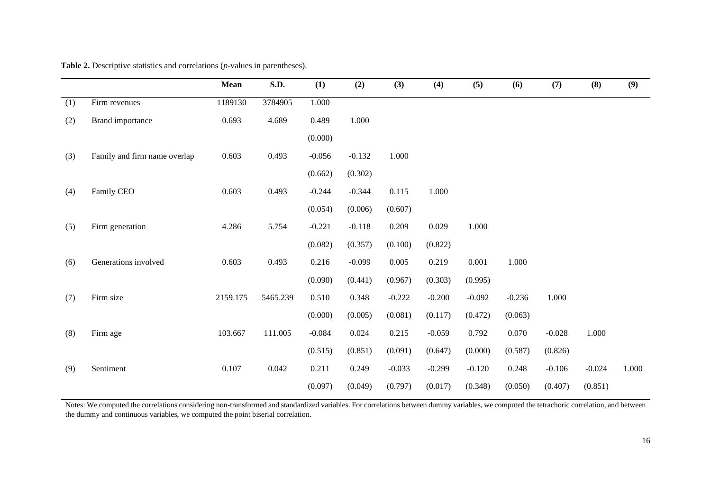|     |                              | <b>Mean</b> | S.D.     | (1)      | (2)      | (3)      | (4)      | (5)      | (6)      | (7)      | (8)      | (9)   |
|-----|------------------------------|-------------|----------|----------|----------|----------|----------|----------|----------|----------|----------|-------|
| (1) | Firm revenues                | 1189130     | 3784905  | 1.000    |          |          |          |          |          |          |          |       |
| (2) | Brand importance             | 0.693       | 4.689    | 0.489    | 1.000    |          |          |          |          |          |          |       |
|     |                              |             |          | (0.000)  |          |          |          |          |          |          |          |       |
| (3) | Family and firm name overlap | 0.603       | 0.493    | $-0.056$ | $-0.132$ | 1.000    |          |          |          |          |          |       |
|     |                              |             |          | (0.662)  | (0.302)  |          |          |          |          |          |          |       |
| (4) | Family CEO                   | 0.603       | 0.493    | $-0.244$ | $-0.344$ | 0.115    | 1.000    |          |          |          |          |       |
|     |                              |             |          | (0.054)  | (0.006)  | (0.607)  |          |          |          |          |          |       |
| (5) | Firm generation              | 4.286       | 5.754    | $-0.221$ | $-0.118$ | 0.209    | 0.029    | 1.000    |          |          |          |       |
|     |                              |             |          | (0.082)  | (0.357)  | (0.100)  | (0.822)  |          |          |          |          |       |
| (6) | Generations involved         | 0.603       | 0.493    | 0.216    | $-0.099$ | 0.005    | 0.219    | 0.001    | 1.000    |          |          |       |
|     |                              |             |          | (0.090)  | (0.441)  | (0.967)  | (0.303)  | (0.995)  |          |          |          |       |
| (7) | Firm size                    | 2159.175    | 5465.239 | 0.510    | 0.348    | $-0.222$ | $-0.200$ | $-0.092$ | $-0.236$ | 1.000    |          |       |
|     |                              |             |          | (0.000)  | (0.005)  | (0.081)  | (0.117)  | (0.472)  | (0.063)  |          |          |       |
| (8) | Firm age                     | 103.667     | 111.005  | $-0.084$ | 0.024    | 0.215    | $-0.059$ | 0.792    | 0.070    | $-0.028$ | 1.000    |       |
|     |                              |             |          | (0.515)  | (0.851)  | (0.091)  | (0.647)  | (0.000)  | (0.587)  | (0.826)  |          |       |
| (9) | Sentiment                    | 0.107       | 0.042    | 0.211    | 0.249    | $-0.033$ | $-0.299$ | $-0.120$ | 0.248    | $-0.106$ | $-0.024$ | 1.000 |
|     |                              |             |          | (0.097)  | (0.049)  | (0.797)  | (0.017)  | (0.348)  | (0.050)  | (0.407)  | (0.851)  |       |

**Table 2.** Descriptive statistics and correlations (*p-*values in parentheses).

Notes: We computed the correlations considering non-transformed and standardized variables. For correlations between dummy variables, we computed the tetrachoric correlation, and between the dummy and continuous variables, we computed the point biserial correlation.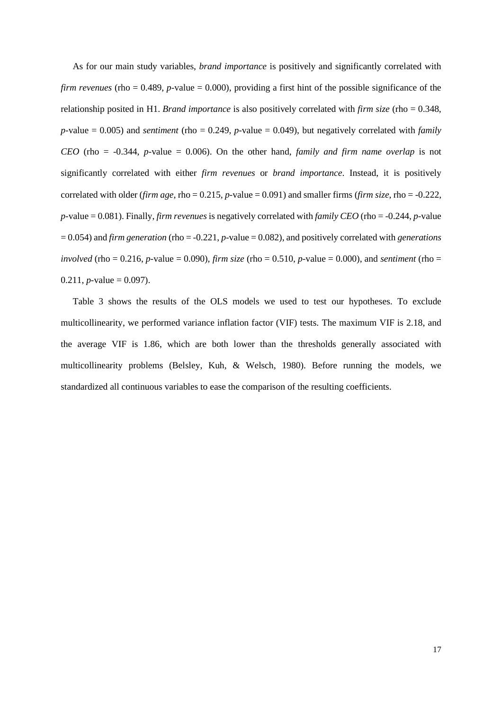As for our main study variables, *brand importance* is positively and significantly correlated with *firm revenues* (rho = 0.489, *p*-value = 0.000), providing a first hint of the possible significance of the relationship posited in H1. *Brand importance* is also positively correlated with *firm size* (rho = 0.348, *p-*value = 0.005) and *sentiment* (rho = 0.249, *p-*value = 0.049), but negatively correlated with *family CEO* (rho = -0.344, *p-*value = 0.006). On the other hand, *family and firm name overlap* is not significantly correlated with either *firm revenues* or *brand importance*. Instead, it is positively correlated with older (*firm age*, rho = 0.215, *p-*value = 0.091) and smaller firms (*firm size*, rho = -0.222, *p-*value = 0.081). Finally, *firm revenues* is negatively correlated with *family CEO* (rho = -0.244, *p-*value = 0.054) and *firm generation* (rho = -0.221, *p-*value = 0.082), and positively correlated with *generations involved* (rho = 0.216, *p*-value = 0.090), *firm size* (rho = 0.510, *p*-value = 0.000), and *sentiment* (rho =  $0.211$ , *p*-value = 0.097).

Table 3 shows the results of the OLS models we used to test our hypotheses. To exclude multicollinearity, we performed variance inflation factor (VIF) tests. The maximum VIF is 2.18, and the average VIF is 1.86, which are both lower than the thresholds generally associated with multicollinearity problems (Belsley, Kuh, & Welsch, 1980). Before running the models, we standardized all continuous variables to ease the comparison of the resulting coefficients.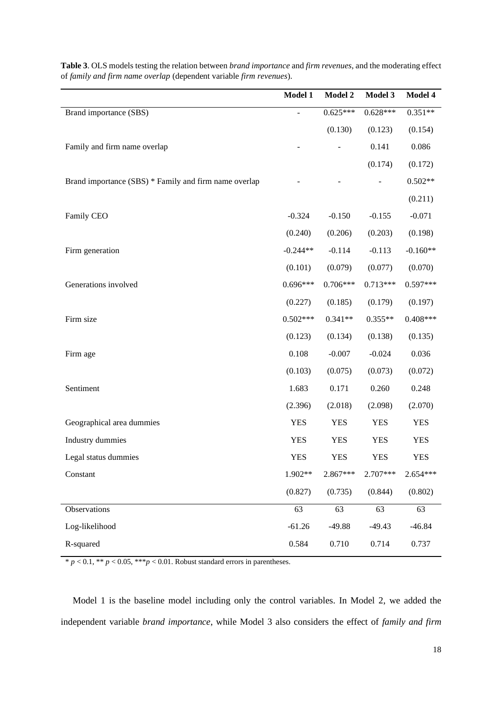|                                                       | Model 1        | Model 2    | Model 3    | Model 4    |
|-------------------------------------------------------|----------------|------------|------------|------------|
| Brand importance (SBS)                                | $\overline{a}$ | $0.625***$ | $0.628***$ | $0.351**$  |
|                                                       |                | (0.130)    | (0.123)    | (0.154)    |
| Family and firm name overlap                          |                |            | 0.141      | 0.086      |
|                                                       |                |            | (0.174)    | (0.172)    |
| Brand importance (SBS) * Family and firm name overlap |                |            |            | $0.502**$  |
|                                                       |                |            |            | (0.211)    |
| Family CEO                                            | $-0.324$       | $-0.150$   | $-0.155$   | $-0.071$   |
|                                                       | (0.240)        | (0.206)    | (0.203)    | (0.198)    |
| Firm generation                                       | $-0.244**$     | $-0.114$   | $-0.113$   | $-0.160**$ |
|                                                       | (0.101)        | (0.079)    | (0.077)    | (0.070)    |
| Generations involved                                  | $0.696***$     | $0.706***$ | $0.713***$ | $0.597***$ |
|                                                       | (0.227)        | (0.185)    | (0.179)    | (0.197)    |
| Firm size                                             | $0.502***$     | $0.341**$  | $0.355**$  | $0.408***$ |
|                                                       | (0.123)        | (0.134)    | (0.138)    | (0.135)    |
| Firm age                                              | 0.108          | $-0.007$   | $-0.024$   | 0.036      |
|                                                       | (0.103)        | (0.075)    | (0.073)    | (0.072)    |
| Sentiment                                             | 1.683          | 0.171      | 0.260      | 0.248      |
|                                                       | (2.396)        | (2.018)    | (2.098)    | (2.070)    |
| Geographical area dummies                             | <b>YES</b>     | <b>YES</b> | <b>YES</b> | <b>YES</b> |
| Industry dummies                                      | <b>YES</b>     | <b>YES</b> | <b>YES</b> | <b>YES</b> |
| Legal status dummies                                  | <b>YES</b>     | <b>YES</b> | <b>YES</b> | <b>YES</b> |
| Constant                                              | 1.902**        | 2.867***   | 2.707***   | 2.654***   |
|                                                       | (0.827)        | (0.735)    | (0.844)    | (0.802)    |
| Observations                                          | 63             | 63         | 63         | 63         |
| Log-likelihood                                        | $-61.26$       | $-49.88$   | $-49.43$   | $-46.84$   |
| R-squared                                             | 0.584          | 0.710      | 0.714      | 0.737      |

**Table 3**. OLS models testing the relation between *brand importance* and *firm revenues*, and the moderating effect of *family and firm name overlap* (dependent variable *firm revenues*).

 $* p < 0.1, ** p < 0.05, *** p < 0.01.$  Robust standard errors in parentheses.

Model 1 is the baseline model including only the control variables. In Model 2, we added the independent variable *brand importance*, while Model 3 also considers the effect of *family and firm*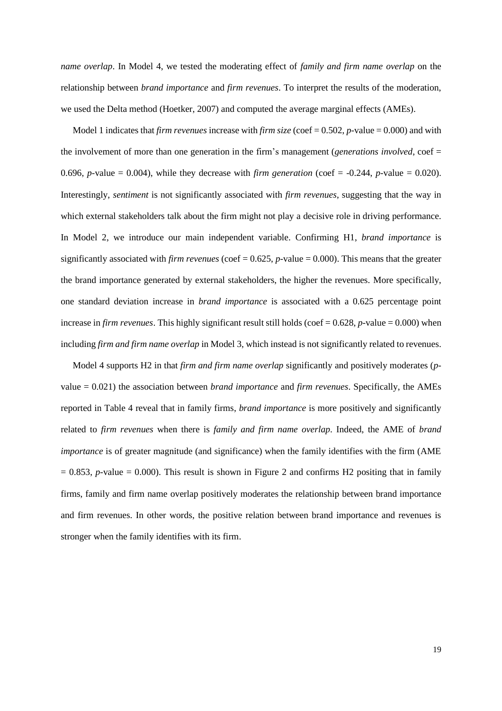*name overlap*. In Model 4, we tested the moderating effect of *family and firm name overlap* on the relationship between *brand importance* and *firm revenues*. To interpret the results of the moderation, we used the Delta method (Hoetker, 2007) and computed the average marginal effects (AMEs).

Model 1 indicates that *firm revenues* increase with *firm size* (coef = 0.502, *p-*value = 0.000) and with the involvement of more than one generation in the firm's management (*generations involved*, coef = 0.696, *p*-value = 0.004), while they decrease with *firm generation* (coef =  $-0.244$ , *p*-value = 0.020). Interestingly, *sentiment* is not significantly associated with *firm revenues*, suggesting that the way in which external stakeholders talk about the firm might not play a decisive role in driving performance. In Model 2, we introduce our main independent variable. Confirming H1, *brand importance* is significantly associated with *firm revenues* (coef = 0.625, *p-*value = 0.000). This means that the greater the brand importance generated by external stakeholders, the higher the revenues. More specifically, one standard deviation increase in *brand importance* is associated with a 0.625 percentage point increase in *firm revenues*. This highly significant result still holds (coef  $= 0.628$ , *p*-value  $= 0.000$ ) when including *firm and firm name overlap* in Model 3, which instead is not significantly related to revenues.

Model 4 supports H2 in that *firm and firm name overlap* significantly and positively moderates (*p*value = 0.021) the association between *brand importance* and *firm revenues*. Specifically, the AMEs reported in Table 4 reveal that in family firms, *brand importance* is more positively and significantly related to *firm revenues* when there is *family and firm name overlap*. Indeed, the AME of *brand importance* is of greater magnitude (and significance) when the family identifies with the firm (AME  $= 0.853$ , *p*-value  $= 0.000$ . This result is shown in Figure 2 and confirms H2 positing that in family firms, family and firm name overlap positively moderates the relationship between brand importance and firm revenues. In other words, the positive relation between brand importance and revenues is stronger when the family identifies with its firm.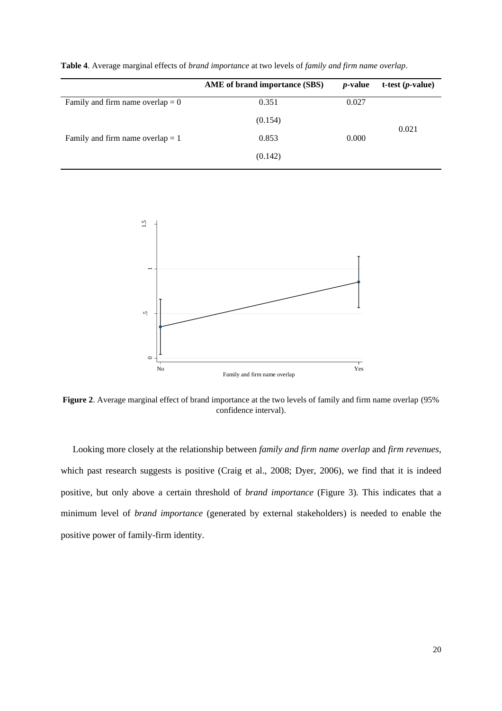|                                    | AME of brand importance (SBS) | <i>p</i> -value | $t-test (p-value)$ |  |
|------------------------------------|-------------------------------|-----------------|--------------------|--|
| Family and firm name overlap $= 0$ | 0.351                         | 0.027           |                    |  |
|                                    | (0.154)                       |                 | 0.021              |  |
| Family and firm name overlap $= 1$ | 0.853                         | 0.000           |                    |  |
|                                    | (0.142)                       |                 |                    |  |

**Table 4**. Average marginal effects of *brand importance* at two levels of *family and firm name overlap*.



**Figure 2**. Average marginal effect of brand importance at the two levels of family and firm name overlap (95% confidence interval).

Looking more closely at the relationship between *family and firm name overlap* and *firm revenues*, which past research suggests is positive (Craig et al., 2008; Dyer, 2006), we find that it is indeed positive, but only above a certain threshold of *brand importance* (Figure 3)*.* This indicates that a minimum level of *brand importance* (generated by external stakeholders) is needed to enable the positive power of family-firm identity.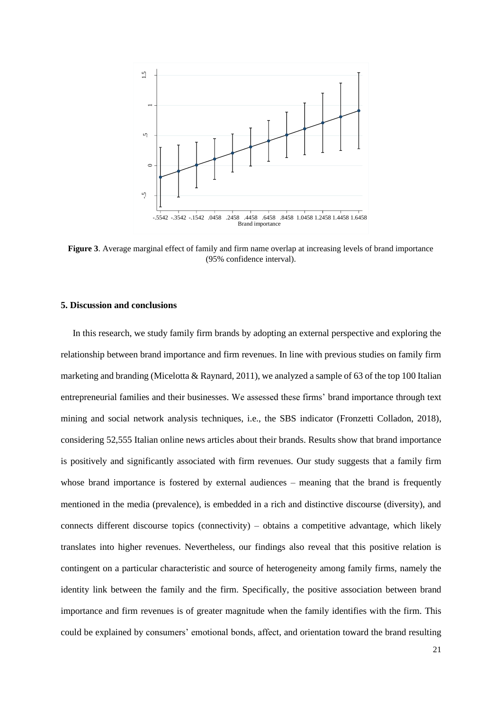

**Figure 3**. Average marginal effect of family and firm name overlap at increasing levels of brand importance (95% confidence interval).

#### **5. Discussion and conclusions**

In this research, we study family firm brands by adopting an external perspective and exploring the relationship between brand importance and firm revenues. In line with previous studies on family firm marketing and branding (Micelotta & Raynard, 2011), we analyzed a sample of 63 of the top 100 Italian entrepreneurial families and their businesses. We assessed these firms' brand importance through text mining and social network analysis techniques, i.e., the SBS indicator (Fronzetti Colladon, 2018), considering 52,555 Italian online news articles about their brands. Results show that brand importance is positively and significantly associated with firm revenues. Our study suggests that a family firm whose brand importance is fostered by external audiences – meaning that the brand is frequently mentioned in the media (prevalence), is embedded in a rich and distinctive discourse (diversity), and connects different discourse topics (connectivity) – obtains a competitive advantage, which likely translates into higher revenues. Nevertheless, our findings also reveal that this positive relation is contingent on a particular characteristic and source of heterogeneity among family firms, namely the identity link between the family and the firm. Specifically, the positive association between brand importance and firm revenues is of greater magnitude when the family identifies with the firm. This could be explained by consumers' emotional bonds, affect, and orientation toward the brand resulting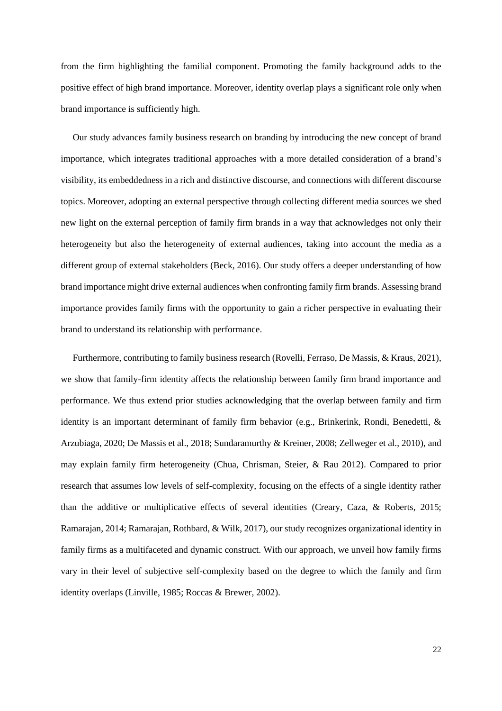from the firm highlighting the familial component. Promoting the family background adds to the positive effect of high brand importance. Moreover, identity overlap plays a significant role only when brand importance is sufficiently high.

Our study advances family business research on branding by introducing the new concept of brand importance, which integrates traditional approaches with a more detailed consideration of a brand's visibility, its embeddedness in a rich and distinctive discourse, and connections with different discourse topics. Moreover, adopting an external perspective through collecting different media sources we shed new light on the external perception of family firm brands in a way that acknowledges not only their heterogeneity but also the heterogeneity of external audiences, taking into account the media as a different group of external stakeholders (Beck, 2016). Our study offers a deeper understanding of how brand importance might drive external audiences when confronting family firm brands. Assessing brand importance provides family firms with the opportunity to gain a richer perspective in evaluating their brand to understand its relationship with performance.

Furthermore, contributing to family business research (Rovelli, Ferraso, De Massis, & Kraus, 2021), we show that family-firm identity affects the relationship between family firm brand importance and performance. We thus extend prior studies acknowledging that the overlap between family and firm identity is an important determinant of family firm behavior (e.g., Brinkerink, Rondi, Benedetti, & Arzubiaga, 2020; De Massis et al., 2018; Sundaramurthy & Kreiner, 2008; Zellweger et al., 2010), and may explain family firm heterogeneity (Chua, Chrisman, Steier, & Rau 2012). Compared to prior research that assumes low levels of self-complexity, focusing on the effects of a single identity rather than the additive or multiplicative effects of several identities (Creary, Caza, & Roberts, 2015; Ramarajan, 2014; Ramarajan, Rothbard, & Wilk, 2017), our study recognizes organizational identity in family firms as a multifaceted and dynamic construct. With our approach, we unveil how family firms vary in their level of subjective self-complexity based on the degree to which the family and firm identity overlaps (Linville, 1985; Roccas & Brewer, 2002).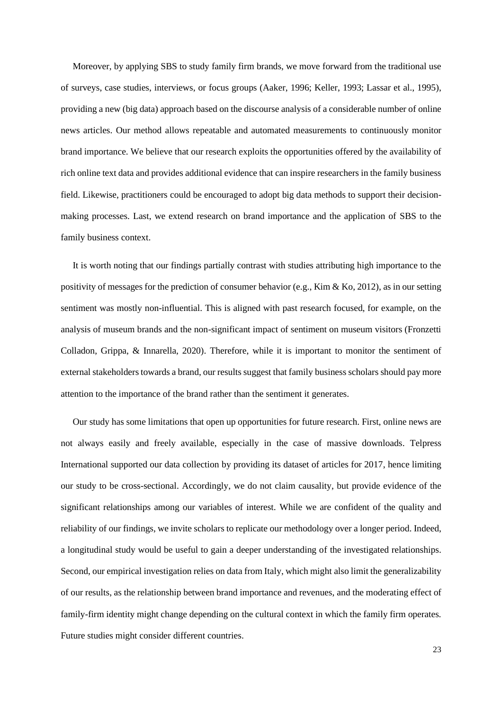Moreover, by applying SBS to study family firm brands, we move forward from the traditional use of surveys, case studies, interviews, or focus groups (Aaker, 1996; Keller, 1993; Lassar et al., 1995), providing a new (big data) approach based on the discourse analysis of a considerable number of online news articles. Our method allows repeatable and automated measurements to continuously monitor brand importance. We believe that our research exploits the opportunities offered by the availability of rich online text data and provides additional evidence that can inspire researchers in the family business field. Likewise, practitioners could be encouraged to adopt big data methods to support their decisionmaking processes. Last, we extend research on brand importance and the application of SBS to the family business context.

It is worth noting that our findings partially contrast with studies attributing high importance to the positivity of messages for the prediction of consumer behavior (e.g., Kim & Ko, 2012), as in our setting sentiment was mostly non-influential. This is aligned with past research focused, for example, on the analysis of museum brands and the non-significant impact of sentiment on museum visitors (Fronzetti Colladon, Grippa, & Innarella, 2020). Therefore, while it is important to monitor the sentiment of external stakeholders towards a brand, our results suggest that family business scholars should pay more attention to the importance of the brand rather than the sentiment it generates.

Our study has some limitations that open up opportunities for future research. First, online news are not always easily and freely available, especially in the case of massive downloads. Telpress International supported our data collection by providing its dataset of articles for 2017, hence limiting our study to be cross-sectional. Accordingly, we do not claim causality, but provide evidence of the significant relationships among our variables of interest. While we are confident of the quality and reliability of our findings, we invite scholars to replicate our methodology over a longer period. Indeed, a longitudinal study would be useful to gain a deeper understanding of the investigated relationships. Second, our empirical investigation relies on data from Italy, which might also limit the generalizability of our results, as the relationship between brand importance and revenues, and the moderating effect of family-firm identity might change depending on the cultural context in which the family firm operates. Future studies might consider different countries.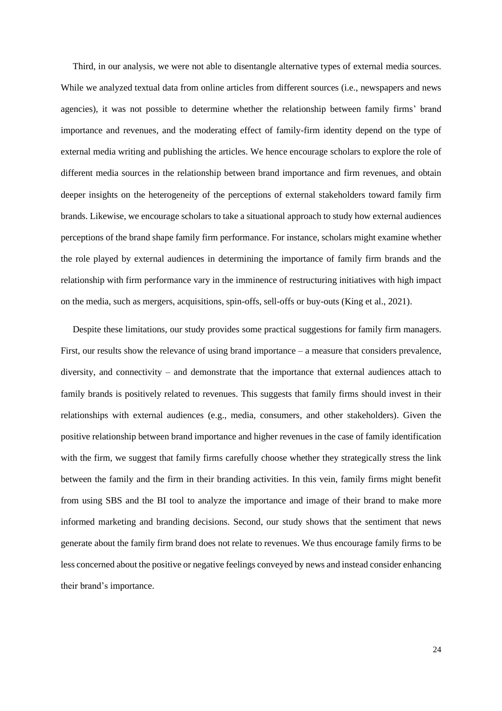Third, in our analysis, we were not able to disentangle alternative types of external media sources. While we analyzed textual data from online articles from different sources (i.e., newspapers and news agencies), it was not possible to determine whether the relationship between family firms' brand importance and revenues, and the moderating effect of family-firm identity depend on the type of external media writing and publishing the articles. We hence encourage scholars to explore the role of different media sources in the relationship between brand importance and firm revenues, and obtain deeper insights on the heterogeneity of the perceptions of external stakeholders toward family firm brands. Likewise, we encourage scholars to take a situational approach to study how external audiences perceptions of the brand shape family firm performance. For instance, scholars might examine whether the role played by external audiences in determining the importance of family firm brands and the relationship with firm performance vary in the imminence of restructuring initiatives with high impact on the media, such as mergers, acquisitions, spin-offs, sell-offs or buy-outs (King et al., 2021).

Despite these limitations, our study provides some practical suggestions for family firm managers. First, our results show the relevance of using brand importance – a measure that considers prevalence, diversity, and connectivity – and demonstrate that the importance that external audiences attach to family brands is positively related to revenues. This suggests that family firms should invest in their relationships with external audiences (e.g., media, consumers, and other stakeholders). Given the positive relationship between brand importance and higher revenues in the case of family identification with the firm, we suggest that family firms carefully choose whether they strategically stress the link between the family and the firm in their branding activities. In this vein, family firms might benefit from using SBS and the BI tool to analyze the importance and image of their brand to make more informed marketing and branding decisions. Second, our study shows that the sentiment that news generate about the family firm brand does not relate to revenues. We thus encourage family firms to be less concerned about the positive or negative feelings conveyed by news and instead consider enhancing their brand's importance.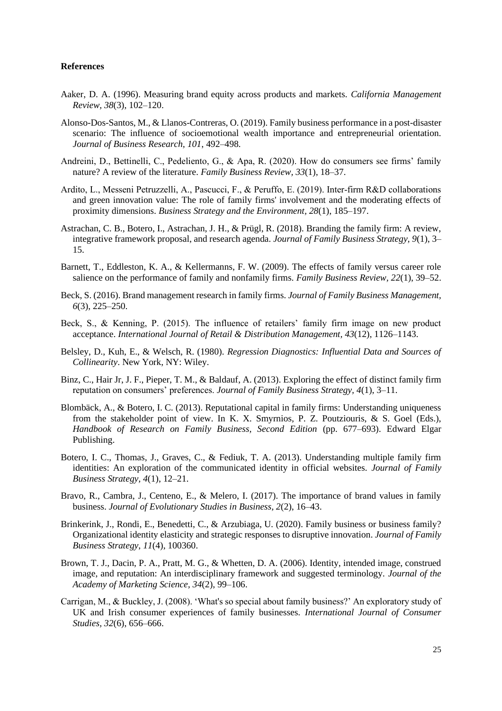# **References**

- Aaker, D. A. (1996). Measuring brand equity across products and markets. *California Management Review, 38*(3), 102*–*120.
- Alonso-Dos-Santos, M., & Llanos-Contreras, O. (2019). Family business performance in a post-disaster scenario: The influence of socioemotional wealth importance and entrepreneurial orientation. *Journal of Business Research, 101*, 492*–*498.
- Andreini, D., Bettinelli, C., Pedeliento, G., & Apa, R. (2020). How do consumers see firms' family nature? A review of the literature. *Family Business Review, 33*(1), 18*–*37.
- Ardito, L., Messeni Petruzzelli, A., Pascucci, F., & Peruffo, E. (2019). Inter‐firm R&D collaborations and green innovation value: The role of family firms' involvement and the moderating effects of proximity dimensions. *Business Strategy and the Environment, 28*(1), 185*–*197.
- Astrachan, C. B., Botero, I., Astrachan, J. H., & Prügl, R. (2018). Branding the family firm: A review, integrative framework proposal, and research agenda. *Journal of Family Business Strategy, 9*(1), 3*–* 15.
- Barnett, T., Eddleston, K. A., & Kellermanns, F. W. (2009). The effects of family versus career role salience on the performance of family and nonfamily firms. *Family Business Review, 22*(1), 39*–*52.
- Beck, S. (2016). Brand management research in family firms. *Journal of Family Business Management, 6*(3), 225*–*250.
- Beck, S., & Kenning, P. (2015). The influence of retailers' family firm image on new product acceptance. *International Journal of Retail & Distribution Management, 43*(12), 1126*–*1143.
- Belsley, D., Kuh, E., & Welsch, R. (1980). *Regression Diagnostics: Influential Data and Sources of Collinearity*. New York, NY: Wiley.
- Binz, C., Hair Jr, J. F., Pieper, T. M., & Baldauf, A. (2013). Exploring the effect of distinct family firm reputation on consumers' preferences. *Journal of Family Business Strategy, 4*(1), 3*–*11.
- Blombäck, A., & Botero, I. C. (2013). Reputational capital in family firms: Understanding uniqueness from the stakeholder point of view. In K. X. Smyrnios, P. Z. Poutziouris, & S. Goel (Eds.), *Handbook of Research on Family Business, Second Edition* (pp. 677–693). Edward Elgar Publishing.
- Botero, I. C., Thomas, J., Graves, C., & Fediuk, T. A. (2013). Understanding multiple family firm identities: An exploration of the communicated identity in official websites. *Journal of Family Business Strategy, 4*(1), 12*–*21.
- Bravo, R., Cambra, J., Centeno, E., & Melero, I. (2017). The importance of brand values in family business. *Journal of Evolutionary Studies in Business, 2*(2), 16*–*43.
- Brinkerink, J., Rondi, E., Benedetti, C., & Arzubiaga, U. (2020). Family business or business family? Organizational identity elasticity and strategic responses to disruptive innovation. *Journal of Family Business Strategy*, *11*(4), 100360.
- Brown, T. J., Dacin, P. A., Pratt, M. G., & Whetten, D. A. (2006). Identity, intended image, construed image, and reputation: An interdisciplinary framework and suggested terminology. *Journal of the Academy of Marketing Science, 34*(2), 99*–*106.
- Carrigan, M., & Buckley, J. (2008). 'What's so special about family business?' An exploratory study of UK and Irish consumer experiences of family businesses. *International Journal of Consumer Studies, 32*(6), 656*–*666.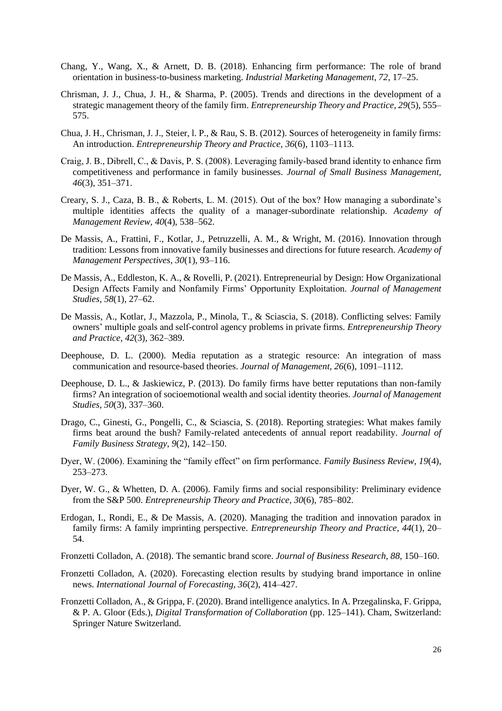- Chang, Y., Wang, X., & Arnett, D. B. (2018). Enhancing firm performance: The role of brand orientation in business-to-business marketing. *Industrial Marketing Management, 72*, 17*–*25.
- Chrisman, J. J., Chua, J. H., & Sharma, P. (2005). Trends and directions in the development of a strategic management theory of the family firm. *Entrepreneurship Theory and Practice, 29*(5), 555*–* 575.
- Chua, J. H., Chrisman, J. J., Steier, l. P., & Rau, S. B. (2012). Sources of heterogeneity in family firms: An introduction. *Entrepreneurship Theory and Practice, 36*(6), 1103*–*1113.
- Craig, J. B., Dibrell, C., & Davis, P. S. (2008). Leveraging family‐based brand identity to enhance firm competitiveness and performance in family businesses. *Journal of Small Business Management, 46*(3), 351*–*371.
- Creary, S. J., Caza, B. B., & Roberts, L. M. (2015). Out of the box? How managing a subordinate's multiple identities affects the quality of a manager-subordinate relationship. *Academy of Management Review, 40*(4), 538*–*562.
- De Massis, A., Frattini, F., Kotlar, J., Petruzzelli, A. M., & Wright, M. (2016). Innovation through tradition: Lessons from innovative family businesses and directions for future research. *Academy of Management Perspectives, 30*(1), 93*–*116.
- De Massis, A., Eddleston, K. A., & Rovelli, P. (2021). Entrepreneurial by Design: How Organizational Design Affects Family and Nonfamily Firms' Opportunity Exploitation. *Journal of Management Studies*, *58*(1), 27*–*62.
- De Massis, A., Kotlar, J., Mazzola, P., Minola, T., & Sciascia, S. (2018). Conflicting selves: Family owners' multiple goals and self-control agency problems in private firms. *Entrepreneurship Theory and Practice, 42*(3), 362*–*389.
- Deephouse, D. L. (2000). Media reputation as a strategic resource: An integration of mass communication and resource-based theories. *Journal of Management, 26*(6), 1091*–*1112.
- Deephouse, D. L., & Jaskiewicz, P. (2013). Do family firms have better reputations than non-family firms? An integration of socioemotional wealth and social identity theories. *Journal of Management Studies, 50*(3), 337*–*360.
- Drago, C., Ginesti, G., Pongelli, C., & Sciascia, S. (2018). Reporting strategies: What makes family firms beat around the bush? Family-related antecedents of annual report readability. *Journal of Family Business Strategy, 9*(2), 142*–*150.
- Dyer, W. (2006). Examining the "family effect" on firm performance. *Family Business Review, 19*(4), 253*–*273.
- Dyer, W. G., & Whetten, D. A. (2006). Family firms and social responsibility: Preliminary evidence from the S&P 500. *Entrepreneurship Theory and Practice, 30*(6), 785*–*802.
- Erdogan, I., Rondi, E., & De Massis, A. (2020). Managing the tradition and innovation paradox in family firms: A family imprinting perspective. *Entrepreneurship Theory and Practice*, *44*(1), 20*–* 54.
- Fronzetti Colladon, A. (2018). The semantic brand score. *Journal of Business Research, 88*, 150*–*160.
- Fronzetti Colladon, A. (2020). Forecasting election results by studying brand importance in online news. *International Journal of Forecasting, 36*(2), 414*–*427.
- Fronzetti Colladon, A., & Grippa, F. (2020). Brand intelligence analytics. In A. Przegalinska, F. Grippa, & P. A. Gloor (Eds.), *Digital Transformation of Collaboration* (pp. 125*–*141). Cham, Switzerland: Springer Nature Switzerland.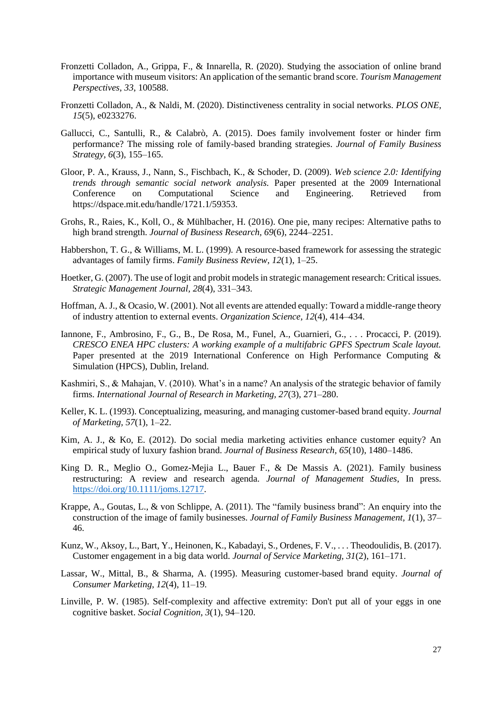- Fronzetti Colladon, A., Grippa, F., & Innarella, R. (2020). Studying the association of online brand importance with museum visitors: An application of the semantic brand score. *Tourism Management Perspectives, 33*, 100588.
- Fronzetti Colladon, A., & Naldi, M. (2020). Distinctiveness centrality in social networks. *PLOS ONE, 15*(5), e0233276.
- Gallucci, C., Santulli, R., & Calabrò, A. (2015). Does family involvement foster or hinder firm performance? The missing role of family-based branding strategies. *Journal of Family Business Strategy, 6*(3), 155*–*165.
- Gloor, P. A., Krauss, J., Nann, S., Fischbach, K., & Schoder, D. (2009). *Web science 2.0: Identifying trends through semantic social network analysis.* Paper presented at the 2009 International Conference on Computational Science and Engineering. Retrieved from https://dspace.mit.edu/handle/1721.1/59353.
- Grohs, R., Raies, K., Koll, O., & Mühlbacher, H. (2016). One pie, many recipes: Alternative paths to high brand strength. *Journal of Business Research, 69*(6), 2244*–*2251.
- Habbershon, T. G., & Williams, M. L. (1999). A resource-based framework for assessing the strategic advantages of family firms. *Family Business Review, 12*(1), 1*–*25.
- Hoetker, G. (2007). The use of logit and probit models in strategic management research: Critical issues. *Strategic Management Journal, 28*(4), 331*–*343.
- Hoffman, A. J., & Ocasio, W. (2001). Not all events are attended equally: Toward a middle-range theory of industry attention to external events. *Organization Science, 12*(4), 414*–*434.
- Iannone, F., Ambrosino, F., G., B., De Rosa, M., Funel, A., Guarnieri, G., . . . Procacci, P. (2019). *CRESCO ENEA HPC clusters: A working example of a multifabric GPFS Spectrum Scale layout.* Paper presented at the 2019 International Conference on High Performance Computing & Simulation (HPCS), Dublin, Ireland.
- Kashmiri, S., & Mahajan, V. (2010). What's in a name? An analysis of the strategic behavior of family firms. *International Journal of Research in Marketing, 27*(3), 271*–*280.
- Keller, K. L. (1993). Conceptualizing, measuring, and managing customer-based brand equity. *Journal of Marketing, 57*(1), 1*–*22.
- Kim, A. J., & Ko, E. (2012). Do social media marketing activities enhance customer equity? An empirical study of luxury fashion brand. *Journal of Business Research, 65*(10), 1480*–*1486.
- King D. R., Meglio O., Gomez-Mejia L., Bauer F., & De Massis A. (2021). Family business restructuring: A review and research agenda. *Journal of Management Studies*, In press. [https://doi.org/10.1111/joms.12717.](https://doi.org/10.1111/joms.12717)
- Krappe, A., Goutas, L., & von Schlippe, A. (2011). The "family business brand": An enquiry into the construction of the image of family businesses. *Journal of Family Business Management, 1*(1), 37*–* 46.
- Kunz, W., Aksoy, L., Bart, Y., Heinonen, K., Kabadayi, S., Ordenes, F. V., . . . Theodoulidis, B. (2017). Customer engagement in a big data world. *Journal of Service Marketing, 31*(2), 161*–*171.
- Lassar, W., Mittal, B., & Sharma, A. (1995). Measuring customer-based brand equity. *Journal of Consumer Marketing, 12*(4), 11*–*19.
- Linville, P. W. (1985). Self-complexity and affective extremity: Don't put all of your eggs in one cognitive basket. *Social Cognition, 3*(1), 94*–*120.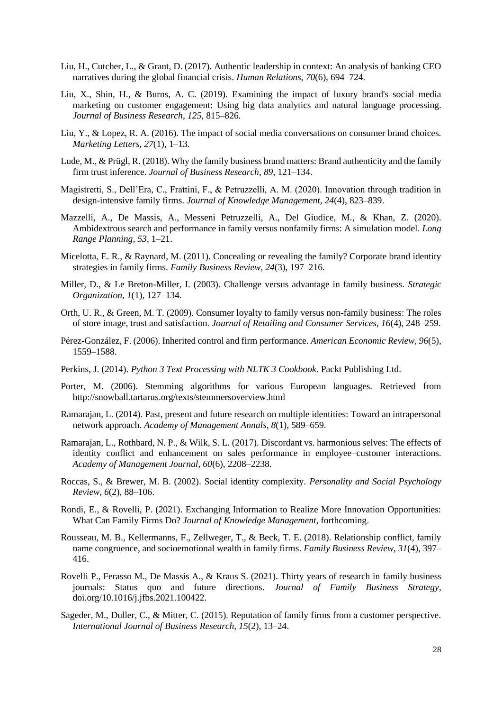- Liu, H., Cutcher, L., & Grant, D. (2017). Authentic leadership in context: An analysis of banking CEO narratives during the global financial crisis. *Human Relations, 70*(6), 694*–*724.
- Liu, X., Shin, H., & Burns, A. C. (2019). Examining the impact of luxury brand's social media marketing on customer engagement: Using big data analytics and natural language processing. *Journal of Business Research*, *125*, 815–826.
- Liu, Y., & Lopez, R. A. (2016). The impact of social media conversations on consumer brand choices. *Marketing Letters, 27*(1), 1*–*13.
- Lude, M., & Prügl, R. (2018). Why the family business brand matters: Brand authenticity and the family firm trust inference. *Journal of Business Research, 89*, 121*–*134.
- Magistretti, S., Dell'Era, C., Frattini, F., & Petruzzelli, A. M. (2020). Innovation through tradition in design-intensive family firms. *Journal of Knowledge Management, 24*(4), 823*–*839.
- Mazzelli, A., De Massis, A., Messeni Petruzzelli, A., Del Giudice, M., & Khan, Z. (2020). Ambidextrous search and performance in family versus nonfamily firms: A simulation model. *Long Range Planning, 53*, 1*–*21.
- Micelotta, E. R., & Raynard, M. (2011). Concealing or revealing the family? Corporate brand identity strategies in family firms. *Family Business Review, 24*(3), 197*–*216.
- Miller, D., & Le Breton-Miller, I. (2003). Challenge versus advantage in family business. *Strategic Organization, 1*(1), 127*–*134.
- Orth, U. R., & Green, M. T. (2009). Consumer loyalty to family versus non-family business: The roles of store image, trust and satisfaction. *Journal of Retailing and Consumer Services, 16*(4), 248*–*259.
- Pérez-González, F. (2006). Inherited control and firm performance. *American Economic Review, 96*(5), 1559*–*1588.
- Perkins, J. (2014). *Python 3 Text Processing with NLTK 3 Cookbook*. Packt Publishing Ltd.
- Porter, M. (2006). Stemming algorithms for various European languages. Retrieved from http://snowball.tartarus.org/texts/stemmersoverview.html
- Ramarajan, L. (2014). Past, present and future research on multiple identities: Toward an intrapersonal network approach. *Academy of Management Annals, 8*(1), 589*–*659.
- Ramarajan, L., Rothbard, N. P., & Wilk, S. L. (2017). Discordant vs. harmonious selves: The effects of identity conflict and enhancement on sales performance in employee–customer interactions. *Academy of Management Journal, 60*(6), 2208*–*2238.
- Roccas, S., & Brewer, M. B. (2002). Social identity complexity. *Personality and Social Psychology Review, 6*(2), 88*–*106.
- Rondi, E., & Rovelli, P. (2021). Exchanging Information to Realize More Innovation Opportunities: What Can Family Firms Do? *Journal of Knowledge Management*, forthcoming.
- Rousseau, M. B., Kellermanns, F., Zellweger, T., & Beck, T. E. (2018). Relationship conflict, family name congruence, and socioemotional wealth in family firms. *Family Business Review, 31*(4), 397*–* 416.
- Rovelli P., Ferasso M., De Massis A., & Kraus S. (2021). Thirty years of research in family business journals: Status quo and future directions. *Journal of Family Business Strategy*, doi.org/10.1016/j.jfbs.2021.100422.
- Sageder, M., Duller, C., & Mitter, C. (2015). Reputation of family firms from a customer perspective. *International Journal of Business Research, 15*(2), 13*–*24.